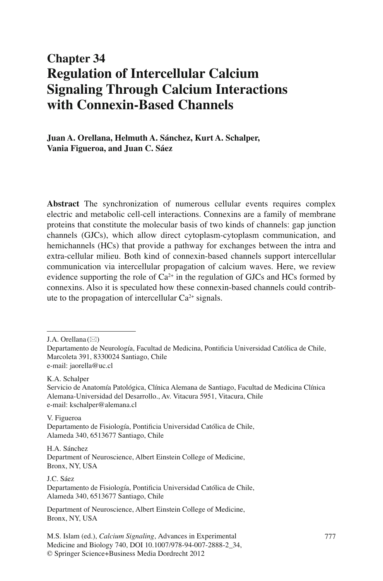# **Chapter 34 Regulation of Intercellular Calcium Signaling Through Calcium Interactions with Connexin-Based Channels**

Juan A. Orellana, Helmuth A. Sánchez, Kurt A. Schalper,  **Vania Figueroa , and Juan C. Sáez** 

 **Abstract** The synchronization of numerous cellular events requires complex electric and metabolic cell-cell interactions. Connexins are a family of membrane proteins that constitute the molecular basis of two kinds of channels: gap junction channels (GJCs), which allow direct cytoplasm-cytoplasm communication, and hemichannels (HCs) that provide a pathway for exchanges between the intra and extra-cellular milieu. Both kind of connexin-based channels support intercellular communication via intercellular propagation of calcium waves. Here, we review evidence supporting the role of  $Ca^{2+}$  in the regulation of GJCs and HCs formed by connexins. Also it is speculated how these connexin-based channels could contribute to the propagation of intercellular  $Ca^{2+}$  signals.

J.A. Orellana ( $\boxtimes$ )

K.A. Schalper

 V. Figueroa Departamento de Fisiología, Pontificia Universidad Católica de Chile, Alameda 340, 6513677 Santiago, Chile

J.C. Sáez Departamento de Fisiología, Pontificia Universidad Católica de Chile, Alameda 340, 6513677 Santiago, Chile

Departamento de Neurología, Facultad de Medicina, Pontificia Universidad Católica de Chile, Marcoleta 391, 8330024 Santiago, Chile e-mail: jaorella@uc.cl

Servicio de Anatomía Patológica, Clínica Alemana de Santiago , Facultad de Medicina Clínica Alemana-Universidad del Desarrollo. , Av. Vitacura 5951 , Vitacura , Chile e-mail: kschalper@alemana.cl

H.A. Sánchez Department of Neuroscience , Albert Einstein College of Medicine, Bronx, NY, USA

Department of Neuroscience , Albert Einstein College of Medicine , Bronx, NY, USA

M.S. Islam (ed.), *Calcium Signaling*, Advances in Experimental 777 Medicine and Biology 740, DOI 10.1007/978-94-007-2888-2\_34, © Springer Science+Business Media Dordrecht 2012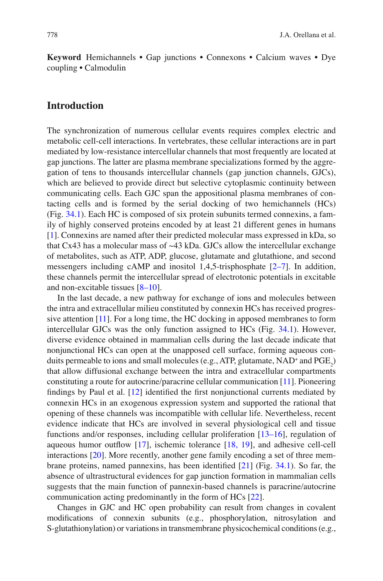**Keyword** Hemichannels • Gap junctions • Connexons • Calcium waves • Dye coupling • Calmodulin

### **Introduction**

 The synchronization of numerous cellular events requires complex electric and metabolic cell-cell interactions. In vertebrates, these cellular interactions are in part mediated by low-resistance intercellular channels that most frequently are located at gap junctions. The latter are plasma membrane specializations formed by the aggregation of tens to thousands intercellular channels (gap junction channels, GJCs), which are believed to provide direct but selective cytoplasmic continuity between communicating cells. Each GJC span the appositional plasma membranes of contacting cells and is formed by the serial docking of two hemichannels (HCs) (Fig. [34.1](#page-2-0) ). Each HC is composed of six protein subunits termed connexins, a family of highly conserved proteins encoded by at least 21 different genes in humans [1]. Connexins are named after their predicted molecular mass expressed in kDa, so that Cx43 has a molecular mass of  $\sim$ 43 kDa. GJCs allow the intercellular exchange of metabolites, such as ATP, ADP, glucose, glutamate and glutathione, and second messengers including cAMP and inositol 1,4,5-trisphosphate  $[2-7]$ . In addition, these channels permit the intercellular spread of electrotonic potentials in excitable and non-excitable tissues  $[8-10]$ .

 In the last decade, a new pathway for exchange of ions and molecules between the intra and extracellular milieu constituted by connexin HCs has received progressive attention  $[11]$ . For a long time, the HC docking in apposed membranes to form intercellular GJCs was the only function assigned to HCs (Fig. [34.1](#page-2-0)). However, diverse evidence obtained in mammalian cells during the last decade indicate that nonjunctional HCs can open at the unapposed cell surface, forming aqueous conduits permeable to ions and small molecules (e.g., ATP, glutamate,  $NAD^+$  and  $PGE_2$ ) that allow diffusional exchange between the intra and extracellular compartments constituting a route for autocrine/paracrine cellular communication [ [11](#page-11-0) ] . Pioneering findings by Paul et al.  $[12]$  identified the first nonjunctional currents mediated by connexin HCs in an exogenous expression system and supported the rational that opening of these channels was incompatible with cellular life. Nevertheless, recent evidence indicate that HCs are involved in several physiological cell and tissue functions and/or responses, including cellular proliferation  $[13–16]$ , regulation of aqueous humor outflow  $[17]$ , ischemic tolerance  $[18, 19]$ , and adhesive cell-cell interactions [20]. More recently, another gene family encoding a set of three membrane proteins, named pannexins, has been identified  $[21]$  (Fig. 34.1). So far, the absence of ultrastructural evidences for gap junction formation in mammalian cells suggests that the main function of pannexin-based channels is paracrine/autocrine communication acting predominantly in the form of HCs [22].

 Changes in GJC and HC open probability can result from changes in covalent modifications of connexin subunits (e.g., phosphorylation, nitrosylation and S-glutathionylation) or variations in transmembrane physicochemical conditions (e.g.,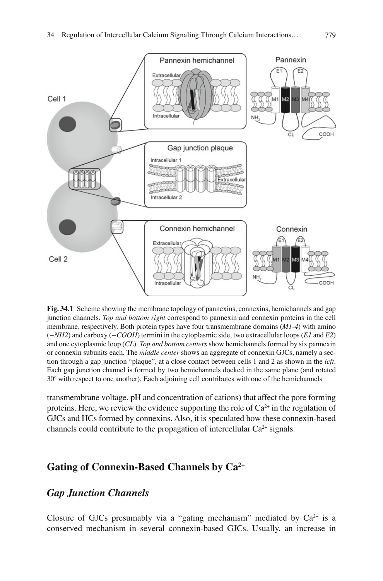<span id="page-2-0"></span>

 **Fig. 34.1** Scheme showing the membrane topology of pannexins, connexins, hemichannels and gap junction channels . *Top and bottom right* correspond to pannexin and connexin proteins in the cell membrane, respectively. Both protein types have four transmembrane domains (*M1-4*) with amino ( *−NH2* ) and carboxy ( *−COOH* ) termini in the cytoplasmic side, two extracellular loops ( *E1* and *E2* ) and one cytoplasmic loop (*CL*). *Top and bottom centers* show hemichannels formed by six pannexin or connexin subunits each. The *middle center* shows an aggregate of connexin GJCs, namely a section through a gap junction "plaque", at a close contact between cells 1 and 2 as shown in the *left* . Each gap junction channel is formed by two hemichannels docked in the same plane (and rotated 30° with respect to one another). Each adjoining cell contributes with one of the hemichannels

transmembrane voltage, pH and concentration of cations) that affect the pore forming proteins. Here, we review the evidence supporting the role of  $Ca^{2+}$  in the regulation of GJCs and HCs formed by connexins. Also, it is speculated how these connexin-based channels could contribute to the propagation of intercellular  $Ca^{2+}$  signals.

# Gating of Connexin-Based Channels by Ca<sup>2+</sup>

## *Gap Junction Channels*

Closure of GJCs presumably via a "gating mechanism" mediated by  $Ca^{2+}$  is a conserved mechanism in several connexin-based GJCs. Usually, an increase in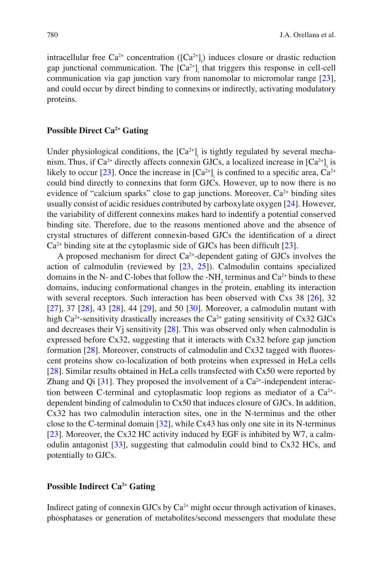intracellular free  $Ca^{2+}$  concentration ( $[Ca^{2+}]$ ) induces closure or drastic reduction gap junctional communication. The  $[Ca^{2+}]$ <sub>i</sub> that triggers this response in cell-cell communication via gap junction vary from nanomolar to micromolar range  $[23]$ , and could occur by direct binding to connexins or indirectly, activating modulatory proteins.

#### **Possible Direct Ca<sup>2+</sup> Gating**

Under physiological conditions, the  $[Ca^{2+}$ <sub>1</sub> is tightly regulated by several mechanism. Thus, if  $Ca^{2+}$  directly affects connexin GJCs, a localized increase in  $[Ca^{2+}]$ <sub>i</sub> is likely to occur [23]. Once the increase in  $[Ca^{2+}]$ <sub>i</sub> is confined to a specific area,  $Ca^{2+}$ could bind directly to connexins that form GJCs. However, up to now there is no evidence of "calcium sparks" close to gap junctions. Moreover,  $Ca<sup>2+</sup>$  binding sites usually consist of acidic residues contributed by carboxylate oxygen [24]. However, the variability of different connexins makes hard to indentify a potential conserved binding site. Therefore, due to the reasons mentioned above and the absence of crystal structures of different connexin-based GJCs the identification of a direct  $Ca<sup>2+</sup>$  binding site at the cytoplasmic side of GJCs has been difficult [23].

A proposed mechanism for direct  $Ca^{2+}$ -dependent gating of GJCs involves the action of calmodulin (reviewed by  $[23, 25]$ ). Calmodulin contains specialized domains in the N- and C-lobes that follow the -NH<sub>2</sub> terminus and  $Ca^{2+}$  binds to these domains, inducing conformational changes in the protein, enabling its interaction with several receptors. Such interaction has been observed with  $Cxs$  38 [26], 32 [ $27$ ],  $37$  [ $28$ ],  $43$  [ $28$ ],  $44$  [ $29$ ], and  $50$  [ $30$ ]. Moreover, a calmodulin mutant with high Ca<sup>2+</sup>-sensitivity drastically increases the Ca<sup>2+</sup> gating sensitivity of Cx32 GJCs and decreases their  $Vj$  sensitivity  $[28]$ . This was observed only when calmodulin is expressed before Cx32, suggesting that it interacts with Cx32 before gap junction formation  $[28]$ . Moreover, constructs of calmodulin and  $Cx32$  tagged with fluorescent proteins show co-localization of both proteins when expressed in HeLa cells [28]. Similar results obtained in HeLa cells transfected with Cx50 were reported by Zhang and Qi  $[31]$ . They proposed the involvement of a Ca<sup>2+</sup>-independent interaction between C-terminal and cytoplasmatic loop regions as mediator of a  $Ca^{2+}$ dependent binding of calmodulin to Cx50 that induces closure of GJCs. In addition, Cx32 has two calmodulin interaction sites, one in the N-terminus and the other close to the C-terminal domain  $[32]$ , while Cx43 has only one site in its N-terminus [23]. Moreover, the Cx32 HC activity induced by EGF is inhibited by W7, a calmodulin antagonist [33], suggesting that calmodulin could bind to Cx32 HCs, and potentially to GJCs.

#### **Possible Indirect Ca<sup>2+</sup> Gating**

Indirect gating of connexin GJCs by  $Ca<sup>2+</sup>$  might occur through activation of kinases, phosphatases or generation of metabolites/second messengers that modulate these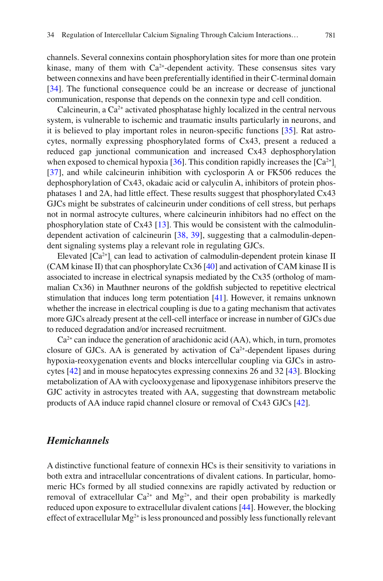channels. Several connexins contain phosphorylation sites for more than one protein kinase, many of them with  $Ca^{2+}$ -dependent activity. These consensus sites vary between connexins and have been preferentially identified in their C-terminal domain [34]. The functional consequence could be an increase or decrease of junctional communication, response that depends on the connexin type and cell condition.

Calcineurin, a  $Ca<sup>2+</sup>$  activated phosphatase highly localized in the central nervous system, is vulnerable to ischemic and traumatic insults particularly in neurons, and it is believed to play important roles in neuron-specific functions  $[35]$ . Rat astrocytes, normally expressing phosphorylated forms of Cx43, present a reduced a reduced gap junctional communication and increased Cx43 dephosphorylation when exposed to chemical hypoxia  $[36]$ . This condition rapidly increases the  $[Ca^{2+}]$ . [37], and while calcineurin inhibition with cyclosporin A or FK506 reduces the dephosphorylation of Cx43, okadaic acid or calyculin A, inhibitors of protein phosphatases 1 and 2A, had little effect. These results suggest that phosphorylated Cx43 GJCs might be substrates of calcineurin under conditions of cell stress, but perhaps not in normal astrocyte cultures, where calcineurin inhibitors had no effect on the phosphorylation state of  $Cx43$  [13]. This would be consistent with the calmodulindependent activation of calcineurin [38, 39], suggesting that a calmodulin-dependent signaling systems play a relevant role in regulating GJCs.

Elevated  $[Ca^{2+}]$  can lead to activation of calmodulin-dependent protein kinase II (CAM kinase II) that can phosphorylate Cx36  $[40]$  and activation of CAM kinase II is associated to increase in electrical synapsis mediated by the Cx35 (ortholog of mammalian  $Cx36$ ) in Mauthner neurons of the goldfish subjected to repetitive electrical stimulation that induces long term potentiation [41]. However, it remains unknown whether the increase in electrical coupling is due to a gating mechanism that activates more GJCs already present at the cell-cell interface or increase in number of GJCs due to reduced degradation and/or increased recruitment.

 $Ca<sup>2+</sup>$  can induce the generation of arachidonic acid (AA), which, in turn, promotes closure of GJCs. AA is generated by activation of  $Ca<sup>2+</sup>$ -dependent lipases during hypoxia-reoxygenation events and blocks intercellular coupling via GJCs in astrocytes  $[42]$  and in mouse hepatocytes expressing connexins 26 and 32  $[43]$ . Blocking metabolization of AA with cyclooxygenase and lipoxygenase inhibitors preserve the GJC activity in astrocytes treated with AA, suggesting that downstream metabolic products of AA induce rapid channel closure or removal of Cx43 GJCs [42].

## *Hemichannels*

 A distinctive functional feature of connexin HCs is their sensitivity to variations in both extra and intracellular concentrations of divalent cations. In particular, homomeric HCs formed by all studied connexins are rapidly activated by reduction or removal of extracellular  $Ca^{2+}$  and  $Mg^{2+}$ , and their open probability is markedly reduced upon exposure to extracellular divalent cations [44]. However, the blocking effect of extracellular  $Mg^{2+}$  is less pronounced and possibly less functionally relevant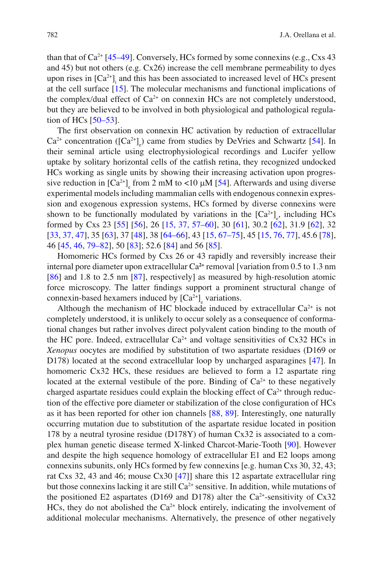than that of  $Ca^{2+}$  [45–49]. Conversely, HCs formed by some connexins (e.g., Cxs 43) and 45) but not others (e.g. Cx26) increase the cell membrane permeability to dyes upon rises in  $[Ca<sup>2+</sup>]<sub>i</sub>$  and this has been associated to increased level of HCs present at the cell surface  $[15]$ . The molecular mechanisms and functional implications of the complex/dual effect of  $Ca^{2+}$  on connexin HCs are not completely understood, but they are believed to be involved in both physiological and pathological regulation of HCs  $[50-53]$ .

The first observation on connexin HC activation by reduction of extracellular  $Ca^{2+}$  concentration ( $[Ca^{2+}]\_e$ ) came from studies by DeVries and Schwartz [54]. In their seminal article using electrophysiological recordings and Lucifer yellow uptake by solitary horizontal cells of the catfish retina, they recognized undocked HCs working as single units by showing their increasing activation upon progressive reduction in  $[Ca^{2+}]_e$  from 2 mM to <10  $\mu$ M [54]. Afterwards and using diverse experimental models including mammalian cells with endogenous connexin expression and exogenous expression systems, HCs formed by diverse connexins were shown to be functionally modulated by variations in the  $[Ca^{2+}]_e$ , including HCs formed by Cxs 23 [55] [56], 26 [15, [37,](#page-12-0) [57–60](#page-13-0)], 30 [61], 30.2 [62], 31.9 [62], 32 [\[ 33, 37,](#page-12-0) 47], 35 [\[ 63](#page-14-0)], 37 [ 48], 38 [ 64 - 66], 43 [ [15,](#page-11-0) 67 - 75], 45 [\[ 15,](#page-11-0) 76, 77], 45.6 [ 78], 46 [45, 46, 79–82], 50 [83]; 52.6 [84] and 56 [85].

 Homomeric HCs formed by Cxs 26 or 43 rapidly and reversibly increase their internal pore diameter upon extracellular  $Ca^{2+}$  removal [variation from 0.5 to 1.3 nm  $[86]$  and 1.8 to 2.5 nm  $[87]$ , respectively] as measured by high-resolution atomic force microscopy. The latter findings support a prominent structural change of connexin-based hexamers induced by  $[Ca^{2+}]_e$  variations.

Although the mechanism of HC blockade induced by extracellular  $Ca^{2+}$  is not completely understood, it is unlikely to occur solely as a consequence of conformational changes but rather involves direct polyvalent cation binding to the mouth of the HC pore. Indeed, extracellular  $Ca^{2+}$  and voltage sensitivities of Cx32 HCs in *Xenopus* oocytes are modified by substitution of two aspartate residues (D169 or D178) located at the second extracellular loop by uncharged asparagines [47]. In homomeric Cx32 HCs, these residues are believed to form a 12 aspartate ring located at the external vestibule of the pore. Binding of  $Ca<sup>2+</sup>$  to these negatively charged aspartate residues could explain the blocking effect of  $Ca<sup>2+</sup>$  through reduction of the effective pore diameter or stabilization of the close configuration of HCs as it has been reported for other ion channels [88, 89]. Interestingly, one naturally occurring mutation due to substitution of the aspartate residue located in position 178 by a neutral tyrosine residue (D178Y) of human Cx32 is associated to a complex human genetic disease termed X-linked Charcot-Marie-Tooth [90]. However and despite the high sequence homology of extracellular E1 and E2 loops among connexins subunits, only HCs formed by few connexins [e.g. human Cxs 30, 32, 43; rat Cxs 32, 43 and 46; mouse Cx30 [47]] share this 12 aspartate extracellular ring but those connexins lacking it are still  $Ca<sup>2+</sup>$  sensitive. In addition, while mutations of the positioned E2 aspartates (D169 and D178) alter the Ca<sup>2+</sup>-sensitivity of Cx32 HCs, they do not abolished the  $Ca^{2+}$  block entirely, indicating the involvement of additional molecular mechanisms. Alternatively, the presence of other negatively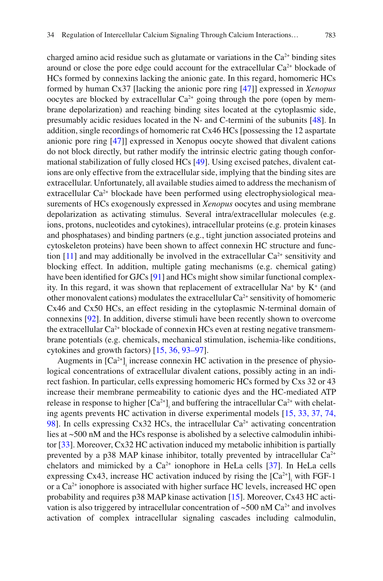charged amino acid residue such as glutamate or variations in the  $Ca<sup>2+</sup>$  binding sites around or close the pore edge could account for the extracellular  $Ca<sup>2+</sup>$  blockade of HCs formed by connexins lacking the anionic gate. In this regard, homomeric HCs formed by human Cx37 [lacking the anionic pore ring [ [47 \]](#page-13-0) ] expressed in *Xenopus* oocytes are blocked by extracellular  $Ca<sup>2+</sup>$  going through the pore (open by membrane depolarization) and reaching binding sites located at the cytoplasmic side, presumably acidic residues located in the N- and C-termini of the subunits  $[48]$ . In addition, single recordings of homomeric rat Cx46 HCs [possessing the 12 aspartate anionic pore ring [47]] expressed in Xenopus oocyte showed that divalent cations do not block directly, but rather modify the intrinsic electric gating though conformational stabilization of fully closed HCs [49]. Using excised patches, divalent cations are only effective from the extracellular side, implying that the binding sites are extracellular. Unfortunately, all available studies aimed to address the mechanism of extracellular  $Ca<sup>2+</sup>$  blockade have been performed using electrophysiological measurements of HCs exogenously expressed in *Xenopus* oocytes and using membrane depolarization as activating stimulus. Several intra/extracellular molecules (e.g. ions, protons, nucleotides and cytokines), intracellular proteins (e.g. protein kinases and phosphatases) and binding partners (e.g., tight junction associated proteins and cytoskeleton proteins) have been shown to affect connexin HC structure and function  $[11]$  and may additionally be involved in the extracellular  $Ca^{2+}$  sensitivity and

cytokines and growth factors)  $[15, 36, 93-97]$  $[15, 36, 93-97]$  $[15, 36, 93-97]$ . Augments in  $[Ca^{2+}]$ <sub>i</sub> increase connexin HC activation in the presence of physiological concentrations of extracellular divalent cations, possibly acting in an indirect fashion. In particular, cells expressing homomeric HCs formed by Cxs 32 or 43 increase their membrane permeability to cationic dyes and the HC-mediated ATP release in response to higher  $[Ca^{2+}]$  and buffering the intracellular  $Ca^{2+}$  with chelat-ing agents prevents HC activation in diverse experimental models [15, [33, 37,](#page-12-0) 74, 98]. In cells expressing Cx32 HCs, the intracellular  $Ca<sup>2+</sup>$  activating concentration lies at ~500 nM and the HCs response is abolished by a selective calmodulin inhibitor [33]. Moreover, Cx32 HC activation induced my metabolic inhibition is partially prevented by a p38 MAP kinase inhibitor, totally prevented by intracellular  $Ca^{2+}$ chelators and mimicked by a  $Ca^{2+}$  ionophore in HeLa cells [37]. In HeLa cells expressing Cx43, increase HC activation induced by rising the  $[Ca^{2+}]$ <sub>i</sub> with FGF-1 or a  $Ca<sup>2+</sup>$  ionophore is associated with higher surface HC levels, increased HC open probability and requires p38 MAP kinase activation [15]. Moreover, Cx43 HC activation is also triggered by intracellular concentration of  $\sim$  500 nM Ca<sup>2+</sup> and involves activation of complex intracellular signaling cascades including calmodulin,

blocking effect. In addition, multiple gating mechanisms (e.g. chemical gating) have been identified for GJCs [91] and HCs might show similar functional complexity. In this regard, it was shown that replacement of extracellular  $Na^+$  by  $K^+$  (and other monovalent cations) modulates the extracellular  $Ca^{2+}$  sensitivity of homomeric Cx46 and Cx50 HCs, an effect residing in the cytoplasmic N-terminal domain of connexins [92]. In addition, diverse stimuli have been recently shown to overcome the extracellular  $Ca^{2+}$  blockade of connexin HCs even at resting negative transmembrane potentials (e.g. chemicals, mechanical stimulation, ischemia-like conditions,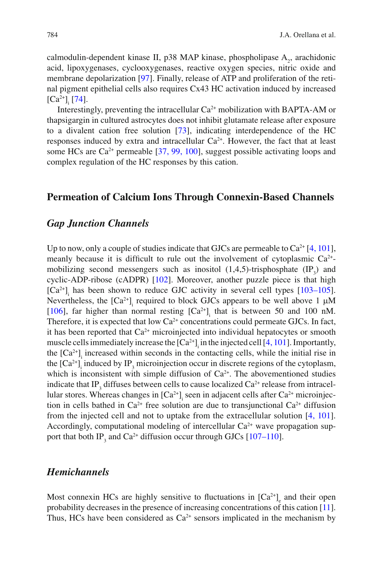calmodulin-dependent kinase II, p38 MAP kinase, phospholipase  $A_2$ , arachidonic acid, lipoxygenases, cyclooxygenases, reactive oxygen species, nitric oxide and membrane depolarization [97]. Finally, release of ATP and proliferation of the retinal pigment epithelial cells also requires Cx43 HC activation induced by increased  $\left[\text{Ca}^{2+}\right]_i$  [74].

Interestingly, preventing the intracellular  $Ca^{2+}$  mobilization with BAPTA-AM or thapsigargin in cultured astrocytes does not inhibit glutamate release after exposure to a divalent cation free solution  $[73]$ , indicating interdependence of the HC responses induced by extra and intracellular  $Ca^{2+}$ . However, the fact that at least some HCs are  $Ca^{2+}$  permeable [37, [99, 100](#page-15-0)], suggest possible activating loops and complex regulation of the HC responses by this cation.

#### **Permeation of Calcium Ions Through Connexin-Based Channels**

#### *Gap Junction Channels*

Up to now, only a couple of studies indicate that GJCs are permeable to  $Ca^{2+}[4, 101]$ , meanly because it is difficult to rule out the involvement of cytoplasmic  $Ca^{2+}$ mobilizing second messengers such as inositol  $(1,4,5)$ -trisphosphate  $(IP_3)$  and cyclic-ADP-ribose (cADPR) [102]. Moreover, another puzzle piece is that high  $[Ca^{2+}]$  has been shown to reduce GJC activity in several cell types [103–105]. Nevertheless, the  $[Ca^{2+}]$ <sub>i</sub> required to block GJCs appears to be well above 1  $\mu$ M [106], far higher than normal resting  $[Ca^{2+}]$  that is between 50 and 100 nM. Therefore, it is expected that low  $Ca^{2+}$  concentrations could permeate GJCs. In fact, it has been reported that  $Ca<sup>2+</sup>$  microinjected into individual hepatocytes or smooth muscle cells immediately increase the  $[Ca^{2+}]}$  in the injected cell [4, [101](#page-15-0)]. Importantly, the  $[Ca^{2+}]$ <sub>i</sub> increased within seconds in the contacting cells, while the initial rise in the  $[Ca^{2+}$ <sub>1</sub> induced by IP<sub>3</sub> microinjection occur in discrete regions of the cytoplasm, which is inconsistent with simple diffusion of  $Ca<sup>2+</sup>$ . The abovementioned studies indicate that IP<sub>3</sub> diffuses between cells to cause localized  $Ca^{2+}$  release from intracellular stores. Whereas changes in  $[Ca^{2+}]$  seen in adjacent cells after  $Ca^{2+}$  microinjection in cells bathed in  $Ca^{2+}$  free solution are due to transjunctional  $Ca^{2+}$  diffusion from the injected cell and not to uptake from the extracellular solution  $[4, 101]$ . Accordingly, computational modeling of intercellular  $Ca<sup>2+</sup>$  wave propagation support that both  $IP_3$  and  $Ca^{2+}$  diffusion occur through GJCs [107–110].

## *Hemichannels*

Most connexin HCs are highly sensitive to fluctuations in  $[Ca<sup>2+</sup>]$ <sub>e</sub> and their open probability decreases in the presence of increasing concentrations of this cation [11]. Thus, HCs have been considered as  $Ca^{2+}$  sensors implicated in the mechanism by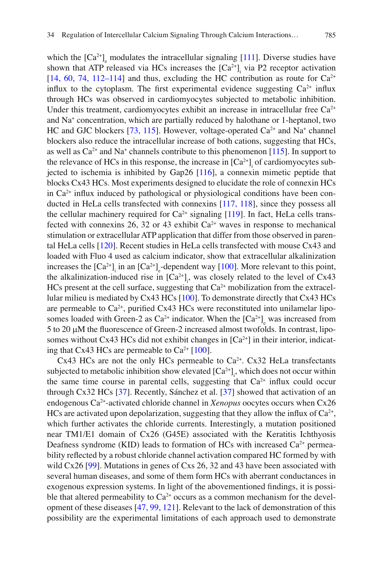which the  $[Ca^{2+}]$ <sub>e</sub> modulates the intracellular signaling [111]. Diverse studies have shown that ATP released via HCs increases the  $[Ca^{2+}$ ], via P2 receptor activation  $[14, 60, 74, 112–114]$  $[14, 60, 74, 112–114]$  $[14, 60, 74, 112–114]$  $[14, 60, 74, 112–114]$  and thus, excluding the HC contribution as route for  $Ca^{2+}$ influx to the cytoplasm. The first experimental evidence suggesting  $Ca^{2+}$  influx through HCs was observed in cardiomyocytes subjected to metabolic inhibition. Under this treatment, cardiomyocytes exhibit an increase in intracellular free  $Ca^{2+}$ and Na<sup>+</sup> concentration, which are partially reduced by halothane or 1-heptanol, two HC and GJC blockers  $[73, 115]$ . However, voltage-operated  $Ca<sup>2+</sup>$  and Na<sup>+</sup> channel blockers also reduce the intracellular increase of both cations, suggesting that HCs, as well as  $Ca^{2+}$  and Na<sup>+</sup> channels contribute to this phenomenon [115]. In support to the relevance of HCs in this response, the increase in  $[Ca^{2+}$ ] of cardiomyocytes subjected to ischemia is inhibited by Gap26  $[116]$ , a connexin mimetic peptide that blocks Cx43 HCs. Most experiments designed to elucidate the role of connexin HCs in  $Ca<sup>2+</sup>$  influx induced by pathological or physiological conditions have been conducted in HeLa cells transfected with connexins  $[117, 118]$ , since they possess all the cellular machinery required for  $Ca^{2+}$  signaling [119]. In fact, HeLa cells transfected with connexins 26, 32 or 43 exhibit  $Ca^{2+}$  waves in response to mechanical stimulation or extracellular ATP application that differ from those observed in parental HeLa cells  $[120]$ . Recent studies in HeLa cells transfected with mouse Cx43 and loaded with Fluo 4 used as calcium indicator, show that extracellular alkalinization increases the  $[Ca^{2+}]$ <sub>i</sub> in an  $[Ca^{2+}]$ <sub>e</sub>-dependent way [100]. More relevant to this point, the alkalinization-induced rise in  $[Ca^{2+}]$ , was closely related to the level of Cx43 HCs present at the cell surface, suggesting that  $Ca<sup>2+</sup>$  mobilization from the extracellular milieu is mediated by Cx43 HCs [100]. To demonstrate directly that Cx43 HCs are permeable to  $Ca^{2+}$ , purified Cx43 HCs were reconstituted into unilamelar liposomes loaded with Green-2 as  $Ca^{2+}$  indicator. When the  $[Ca^{2+}]_e$  was increased from 5 to 20 µM the fluorescence of Green-2 increased almost twofolds. In contrast, liposomes without Cx43 HCs did not exhibit changes in  $[Ca<sup>2+</sup>]$  in their interior, indicat-

Cx43 HCs are not the only HCs permeable to  $Ca<sup>2+</sup>$ . Cx32 HeLa transfectants subjected to metabolic inhibition show elevated  $[Ca^{2+}]$ , which does not occur within the same time course in parental cells, suggesting that  $Ca<sup>2+</sup>$  influx could occur through Cx32 HCs  $[37]$ . Recently, Sánchez et al.  $[37]$  showed that activation of an endogenous Ca<sup>2+</sup>-activated chloride channel in *Xenopus* oocytes occurs when Cx26 HCs are activated upon depolarization, suggesting that they allow the influx of  $Ca<sup>2+</sup>$ , which further activates the chloride currents. Interestingly, a mutation positioned near TM1/E1 domain of Cx26 (G45E) associated with the Keratitis Ichthyosis Deafness syndrome (KID) leads to formation of HCs with increased  $Ca<sup>2+</sup>$  permeability reflected by a robust chloride channel activation compared HC formed by with wild  $Cx26$  [99]. Mutations in genes of Cxs 26, 32 and 43 have been associated with several human diseases, and some of them form HCs with aberrant conductances in exogenous expression systems. In light of the abovementioned findings, it is possible that altered permeability to  $Ca^{2+}$  occurs as a common mechanism for the devel-opment of these diseases [47, [99,](#page-15-0) 121]. Relevant to the lack of demonstration of this possibility are the experimental limitations of each approach used to demonstrate

ing that Cx43 HCs are permeable to  $Ca^{2+}$  [100].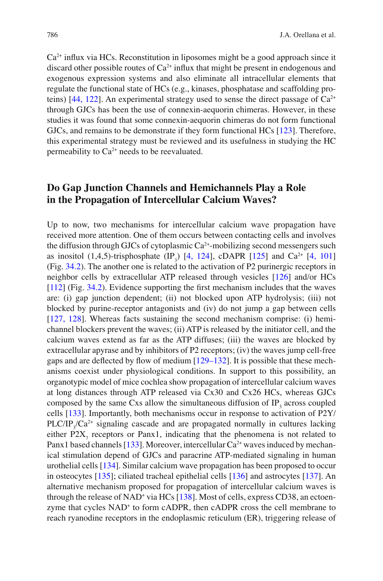$Ca<sup>2+</sup>$  influx via HCs. Reconstitution in liposomes might be a good approach since it discard other possible routes of  $Ca<sup>2+</sup>$  influx that might be present in endogenous and exogenous expression systems and also eliminate all intracellular elements that regulate the functional state of HCs (e.g., kinases, phosphatase and scaffolding proteins)  $[44, 122]$ . An experimental strategy used to sense the direct passage of  $Ca^{2+}$ through GJCs has been the use of connexin-aequorin chimeras. However, in these studies it was found that some connexin-aequorin chimeras do not form functional GJCs, and remains to be demonstrate if they form functional HCs [123]. Therefore, this experimental strategy must be reviewed and its usefulness in studying the HC permeability to  $Ca^{2+}$  needs to be reevaluated.

## **Do Gap Junction Channels and Hemichannels Play a Role in the Propagation of Intercellular Calcium Waves?**

 Up to now, two mechanisms for intercellular calcium wave propagation have received more attention. One of them occurs between contacting cells and involves the diffusion through GJCs of cytoplasmic  $Ca<sup>2+</sup>$ -mobilizing second messengers such as inositol  $(1,4,5)$ -trisphosphate  $(\text{IP}_3)$  [4, 124], cDAPR [125] and Ca<sup>2+</sup> [4, [101](#page-15-0)] (Fig. [34.2 \)](#page-10-0). The another one is related to the activation of P2 purinergic receptors in neighbor cells by extracellular ATP released through vesicles  $[126]$  and/or HCs  $[112]$  (Fig. [34.2](#page-10-0)). Evidence supporting the first mechanism includes that the waves are: (i) gap junction dependent; (ii) not blocked upon ATP hydrolysis; (iii) not blocked by purine-receptor antagonists and (iv) do not jump a gap between cells  $[127, 128]$ . Whereas facts sustaining the second mechanism comprise: (i) hemichannel blockers prevent the waves; (ii) ATP is released by the initiator cell, and the calcium waves extend as far as the ATP diffuses; (iii) the waves are blocked by extracellular apyrase and by inhibitors of P2 receptors; (iv) the waves jump cell-free gaps and are deflected by flow of medium  $[129-132]$ . It is possible that these mechanisms coexist under physiological conditions. In support to this possibility, an organotypic model of mice cochlea show propagation of intercellular calcium waves at long distances through ATP released via Cx30 and Cx26 HCs, whereas GJCs composed by the same Cxs allow the simultaneous diffusion of  $IP_3$  across coupled cells  $[133]$ . Importantly, both mechanisms occur in response to activation of  $P2Y/$  $PLC/IP_{3}/Ca^{2+}$  signaling cascade and are propagated normally in cultures lacking either  $P2X_7$  receptors or Panx1, indicating that the phenomena is not related to Panx1 based channels [133]. Moreover, intercellular  $Ca^{2+}$  waves induced by mechanical stimulation depend of GJCs and paracrine ATP-mediated signaling in human urothelial cells [ [134 \]](#page-17-0) . Similar calcium wave propagation has been proposed to occur in osteocytes  $[135]$ ; ciliated tracheal epithelial cells  $[136]$  and astrocytes  $[137]$ . An alternative mechanism proposed for propagation of intercellular calcium waves is through the release of NAD<sup>+</sup> via HCs [138]. Most of cells, express CD38, an ectoenzyme that cycles NAD<sup>+</sup> to form cADPR, then cADPR cross the cell membrane to reach ryanodine receptors in the endoplasmic reticulum (ER), triggering release of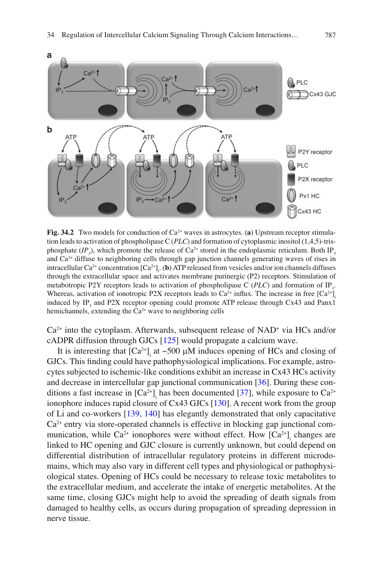<span id="page-10-0"></span>

**Fig. 34.2** Two models for conduction of  $Ca^{2+}$  waves in astrocytes. (a) Upstream receptor stimulation leads to activation of phospholipase C (*PLC*) and formation of cytoplasmic inositol (1,4,5)-trisphosphate  $(IP_3)$ , which promote the release of Ca<sup>2+</sup> stored in the endoplasmic reticulum. Both IP 3 and Ca<sup>2+</sup> diffuse to neighboring cells through gap junction channels generating waves of rises in intracellular Ca<sup>2+</sup> concentration  $[Ca^{2+}]_1$ . (b) ATP released from vesicles and/or ion channels diffuses through the extracellular space and activates membrane purinergic (P2) receptors. Stimulation of metabotropic P2Y receptors leads to activation of phospholipase  $C$  (*PLC*) and formation of IP<sub>3</sub>. Whereas, activation of ionotropic P2X receptors leads to  $Ca^{2+}$  influx. The increase in free  $[Ca^{2+}]$ . induced by  $IP_3$  and P2X receptor opening could promote ATP release through Cx43 and Panx1 hemichannels, extending the  $Ca<sup>2+</sup>$  wave to neighboring cells

 $Ca<sup>2+</sup>$  into the cytoplasm. Afterwards, subsequent release of NAD<sup>+</sup> via HCs and/or cADPR diffusion through GJCs  $[125]$  would propagate a calcium wave.

It is interesting that  $[Ca^{2+}]$ <sub>i</sub> at ~500  $\mu$ M induces opening of HCs and closing of GJCs. This finding could have pathophysiological implications. For example, astrocytes subjected to ischemic-like conditions exhibit an increase in Cx43 HCs activity and decrease in intercellular gap junctional communication  $[36]$ . During these conditions a fast increase in  $[Ca^{2+}]_i$  has been documented [37], while exposure to  $Ca^{2+}$ ionophore induces rapid closure of Cx43 GJCs  $[130]$ . A recent work from the group of Li and co-workers [139, 140] has elegantly demonstrated that only capacitative  $Ca<sup>2+</sup>$  entry via store-operated channels is effective in blocking gap junctional communication, while Ca<sup>2+</sup> ionophores were without effect. How  $\left[Ca^{2+}\right]_i$  changes are linked to HC opening and GJC closure is currently unknown, but could depend on differential distribution of intracellular regulatory proteins in different microdomains, which may also vary in different cell types and physiological or pathophysiological states. Opening of HCs could be necessary to release toxic metabolites to the extracellular medium, and accelerate the intake of energetic metabolites. At the same time, closing GJCs might help to avoid the spreading of death signals from damaged to healthy cells, as occurs during propagation of spreading depression in nerve tissue.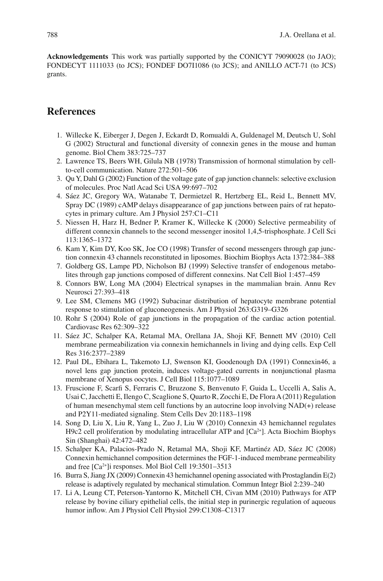<span id="page-11-0"></span> **Acknowledgements** This work was partially supported by the CONICYT 79090028 (to JAO); FONDECYT 1111033 (to JCS); FONDEF DO7I1086 (to JCS); and ANILLO ACT-71 (to JCS) grants.

# **References**

- 1. Willecke K, Eiberger J, Degen J, Eckardt D, Romualdi A, Guldenagel M, Deutsch U, Sohl G (2002) Structural and functional diversity of connexin genes in the mouse and human genome. Biol Chem 383:725–737
- 2. Lawrence TS, Beers WH, Gilula NB (1978) Transmission of hormonal stimulation by cellto-cell communication. Nature 272:501–506
- 3. Qu Y, Dahl G (2002) Function of the voltage gate of gap junction channels: selective exclusion of molecules. Proc Natl Acad Sci USA 99:697–702
- 4. Sáez JC, Gregory WA, Watanabe T, Dermietzel R, Hertzberg EL, Reid L, Bennett MV, Spray DC (1989) cAMP delays disappearance of gap junctions between pairs of rat hepatocytes in primary culture. Am J Physiol 257:C1–C11
- 5. Niessen H, Harz H, Bedner P, Kramer K, Willecke K (2000) Selective permeability of different connexin channels to the second messenger inositol 1,4,5-trisphosphate. J Cell Sci 113:1365–1372
- 6. Kam Y, Kim DY, Koo SK, Joe CO (1998) Transfer of second messengers through gap junction connexin 43 channels reconstituted in liposomes. Biochim Biophys Acta 1372:384–388
- 7. Goldberg GS, Lampe PD, Nicholson BJ (1999) Selective transfer of endogenous metabolites through gap junctions composed of different connexins. Nat Cell Biol 1:457–459
- 8. Connors BW, Long MA (2004) Electrical synapses in the mammalian brain. Annu Rev Neurosci 27:393–418
- 9. Lee SM, Clemens MG (1992) Subacinar distribution of hepatocyte membrane potential response to stimulation of gluconeogenesis. Am J Physiol 263:G319–G326
- 10. Rohr S (2004) Role of gap junctions in the propagation of the cardiac action potential. Cardiovasc Res 62:309–322
- 11. Sáez JC, Schalper KA, Retamal MA, Orellana JA, Shoji KF, Bennett MV (2010) Cell membrane permeabilization via connexin hemichannels in living and dying cells. Exp Cell Res 316:2377–2389
- 12. Paul DL, Ebihara L, Takemoto LJ, Swenson KI, Goodenough DA (1991) Connexin46, a novel lens gap junction protein, induces voltage-gated currents in nonjunctional plasma membrane of Xenopus oocytes. J Cell Biol 115:1077–1089
- 13. Fruscione F, Scarfi S, Ferraris C, Bruzzone S, Benvenuto F, Guida L, Uccelli A, Salis A, Usai C, Jacchetti E, Ilengo C, Scaglione S, Quarto R, Zocchi E, De Flora A (2011) Regulation of human mesenchymal stem cell functions by an autocrine loop involving NAD(+) release and P2Y11-mediated signaling. Stem Cells Dev 20:1183–1198
- 14. Song D, Liu X, Liu R, Yang L, Zuo J, Liu W (2010) Connexin 43 hemichannel regulates H9c2 cell proliferation by modulating intracellular ATP and  $[Ca<sup>2+</sup>]$ . Acta Biochim Biophys Sin (Shanghai) 42:472–482
- 15. Schalper KA, Palacios-Prado N, Retamal MA, Shoji KF, Martinéz AD, Sáez JC (2008) Connexin hemichannel composition determines the FGF-1-induced membrane permeability and free [Ca2+]i responses. Mol Biol Cell 19:3501–3513
- 16. Burra S, Jiang JX (2009) Connexin 43 hemichannel opening associated with Prostaglandin E(2) release is adaptively regulated by mechanical stimulation. Commun Integr Biol 2:239–240
- 17. Li A, Leung CT, Peterson-Yantorno K, Mitchell CH, Civan MM (2010) Pathways for ATP release by bovine ciliary epithelial cells, the initial step in purinergic regulation of aqueous humor inflow. Am J Physiol Cell Physiol 299:C1308-C1317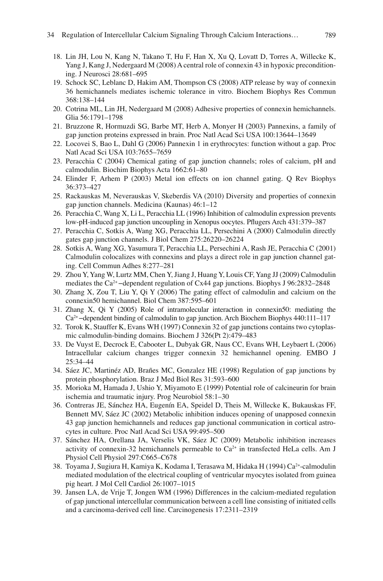- <span id="page-12-0"></span> 18. Lin JH, Lou N, Kang N, Takano T, Hu F, Han X, Xu Q, Lovatt D, Torres A, Willecke K, Yang J, Kang J, Nedergaard M (2008) A central role of connexin 43 in hypoxic preconditioning. J Neurosci 28:681–695
- 19. Schock SC, Leblanc D, Hakim AM, Thompson CS (2008) ATP release by way of connexin 36 hemichannels mediates ischemic tolerance in vitro. Biochem Biophys Res Commun 368:138–144
- 20. Cotrina ML, Lin JH, Nedergaard M (2008) Adhesive properties of connexin hemichannels. Glia 56:1791–1798
- 21. Bruzzone R, Hormuzdi SG, Barbe MT, Herb A, Monyer H (2003) Pannexins, a family of gap junction proteins expressed in brain. Proc Natl Acad Sci USA 100:13644–13649
- 22. Locovei S, Bao L, Dahl G (2006) Pannexin 1 in erythrocytes: function without a gap. Proc Natl Acad Sci USA 103:7655–7659
- 23. Peracchia C (2004) Chemical gating of gap junction channels; roles of calcium, pH and calmodulin. Biochim Biophys Acta 1662:61–80
- 24. Elinder F, Arhem P (2003) Metal ion effects on ion channel gating. Q Rev Biophys 36:373–427
- 25. Rackauskas M, Neverauskas V, Skeberdis VA (2010) Diversity and properties of connexin gap junction channels. Medicina (Kaunas) 46:1–12
- 26. Peracchia C, Wang X, Li L, Peracchia LL (1996) Inhibition of calmodulin expression prevents low-pH-induced gap junction uncoupling in Xenopus oocytes. Pflugers Arch 431:379–387
- 27. Peracchia C, Sotkis A, Wang XG, Peracchia LL, Persechini A (2000) Calmodulin directly gates gap junction channels. J Biol Chem 275:26220–26224
- 28. Sotkis A, Wang XG, Yasumura T, Peracchia LL, Persechini A, Rash JE, Peracchia C (2001) Calmodulin colocalizes with connexins and plays a direct role in gap junction channel gating. Cell Commun Adhes 8:277–281
- 29. Zhou Y, Yang W, Lurtz MM, Chen Y, Jiang J, Huang Y, Louis CF, Yang JJ (2009) Calmodulin mediates the Ca<sup>2+</sup> –dependent regulation of Cx44 gap junctions. Biophys J 96:2832–2848
- 30. Zhang X, Zou T, Liu Y, Qi Y (2006) The gating effect of calmodulin and calcium on the connexin50 hemichannel. Biol Chem 387:595–601
- 31. Zhang X, Qi Y (2005) Role of intramolecular interaction in connexin50: mediating the Ca2+ −dependent binding of calmodulin to gap junction. Arch Biochem Biophys 440:111–117
- 32. Torok K, Stauffer K, Evans WH (1997) Connexin 32 of gap junctions contains two cytoplasmic calmodulin-binding domains. Biochem J 326(Pt 2):479–483
- 33. De Vuyst E, Decrock E, Cabooter L, Dubyak GR, Naus CC, Evans WH, Leybaert L (2006) Intracellular calcium changes trigger connexin 32 hemichannel opening. EMBO J 25:34–44
- 34. Sáez JC, Martinéz AD, Brañes MC, Gonzalez HE (1998) Regulation of gap junctions by protein phosphorylation. Braz J Med Biol Res 31:593–600
- 35. Morioka M, Hamada J, Ushio Y, Miyamoto E (1999) Potential role of calcineurin for brain ischemia and traumatic injury. Prog Neurobiol 58:1–30
- 36. Contreras JE, Sánchez HA, Eugenín EA, Speidel D, Theis M, Willecke K, Bukauskas FF, Bennett MV, Sáez JC (2002) Metabolic inhibition induces opening of unapposed connexin 43 gap junction hemichannels and reduces gap junctional communication in cortical astrocytes in culture. Proc Natl Acad Sci USA 99:495–500
- 37. Sánchez HA, Orellana JA, Verselis VK, Sáez JC (2009) Metabolic inhibition increases activity of connexin-32 hemichannels permeable to  $Ca^{2+}$  in transfected HeLa cells. Am J Physiol Cell Physiol 297:C665–C678
- 38. Toyama J, Sugiura H, Kamiya K, Kodama I, Terasawa M, Hidaka H (1994) Ca<sup>2+</sup>-calmodulin mediated modulation of the electrical coupling of ventricular myocytes isolated from guinea pig heart. J Mol Cell Cardiol 26:1007–1015
- 39. Jansen LA, de Vrije T, Jongen WM (1996) Differences in the calcium-mediated regulation of gap junctional intercellular communication between a cell line consisting of initiated cells and a carcinoma-derived cell line. Carcinogenesis 17:2311–2319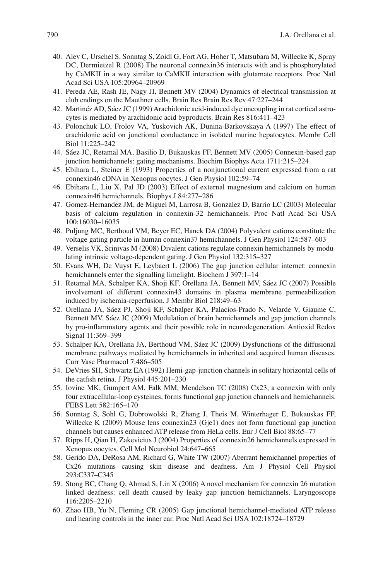- <span id="page-13-0"></span> 40. Alev C, Urschel S, Sonntag S, Zoidl G, Fort AG, Hoher T, Matsubara M, Willecke K, Spray DC, Dermietzel R (2008) The neuronal connexin36 interacts with and is phosphorylated by CaMKII in a way similar to CaMKII interaction with glutamate receptors. Proc Natl Acad Sci USA 105:20964–20969
- 41. Pereda AE, Rash JE, Nagy JI, Bennett MV (2004) Dynamics of electrical transmission at club endings on the Mauthner cells. Brain Res Brain Res Rev 47:227–244
- 42. Martinéz AD, Sáez JC (1999) Arachidonic acid-induced dye uncoupling in rat cortical astrocytes is mediated by arachidonic acid byproducts. Brain Res 816:411–423
- 43. Polonchuk LO, Frolov VA, Yuskovich AK, Dunina-Barkovskaya A (1997) The effect of arachidonic acid on junctional conductance in isolated murine hepatocytes. Membr Cell Biol 11:225–242
- 44. Sáez JC, Retamal MA, Basilio D, Bukauskas FF, Bennett MV (2005) Connexin-based gap junction hemichannels: gating mechanisms. Biochim Biophys Acta 1711:215–224
- 45. Ebihara L, Steiner E (1993) Properties of a nonjunctional current expressed from a rat connexin46 cDNA in Xenopus oocytes. J Gen Physiol 102:59–74
- 46. Ebihara L, Liu X, Pal JD (2003) Effect of external magnesium and calcium on human connexin46 hemichannels. Biophys J 84:277–286
- 47. Gomez-Hernandez JM, de Miguel M, Larrosa B, Gonzalez D, Barrio LC (2003) Molecular basis of calcium regulation in connexin-32 hemichannels. Proc Natl Acad Sci USA 100:16030–16035
- 48. Puljung MC, Berthoud VM, Beyer EC, Hanck DA (2004) Polyvalent cations constitute the voltage gating particle in human connexin37 hemichannels. J Gen Physiol 124:587–603
- 49. Verselis VK, Srinivas M (2008) Divalent cations regulate connexin hemichannels by modulating intrinsic voltage-dependent gating. J Gen Physiol 132:315–327
- 50. Evans WH, De Vuyst E, Leybaert L (2006) The gap junction cellular internet: connexin hemichannels enter the signalling limelight. Biochem J 397:1–14
- 51. Retamal MA, Schalper KA, Shoji KF, Orellana JA, Bennett MV, Sáez JC (2007) Possible involvement of different connexin43 domains in plasma membrane permeabilization induced by ischemia-reperfusion. J Membr Biol 218:49–63
- 52. Orellana JA, Sáez PJ, Shoji KF, Schalper KA, Palacios-Prado N, Velarde V, Giaume C, Bennett MV, Sáez JC (2009) Modulation of brain hemichannels and gap junction channels by pro-inflammatory agents and their possible role in neurodegeneration. Antioxid Redox Signal 11:369–399
- 53. Schalper KA, Orellana JA, Berthoud VM, Sáez JC (2009) Dysfunctions of the diffusional membrane pathways mediated by hemichannels in inherited and acquired human diseases. Curr Vasc Pharmacol 7:486–505
- 54. DeVries SH, Schwartz EA (1992) Hemi-gap-junction channels in solitary horizontal cells of the catfish retina. J Physiol  $445:201-230$
- 55. Iovine MK, Gumpert AM, Falk MM, Mendelson TC (2008) Cx23, a connexin with only four extracellular-loop cysteines, forms functional gap junction channels and hemichannels. FEBS Lett 582:165–170
- 56. Sonntag S, Sohl G, Dobrowolski R, Zhang J, Theis M, Winterhager E, Bukauskas FF, Willecke K (2009) Mouse lens connexin23 (Gje1) does not form functional gap junction channels but causes enhanced ATP release from HeLa cells. Eur J Cell Biol 88:65–77
- 57. Ripps H, Qian H, Zakevicius J (2004) Properties of connexin26 hemichannels expressed in Xenopus oocytes. Cell Mol Neurobiol 24:647–665
- 58. Gerido DA, DeRosa AM, Richard G, White TW (2007) Aberrant hemichannel properties of Cx26 mutations causing skin disease and deafness. Am J Physiol Cell Physiol 293:C337–C345
- 59. Stong BC, Chang Q, Ahmad S, Lin X (2006) A novel mechanism for connexin 26 mutation linked deafness: cell death caused by leaky gap junction hemichannels. Laryngoscope 116:2205–2210
- 60. Zhao HB, Yu N, Fleming CR (2005) Gap junctional hemichannel-mediated ATP release and hearing controls in the inner ear. Proc Natl Acad Sci USA 102:18724–18729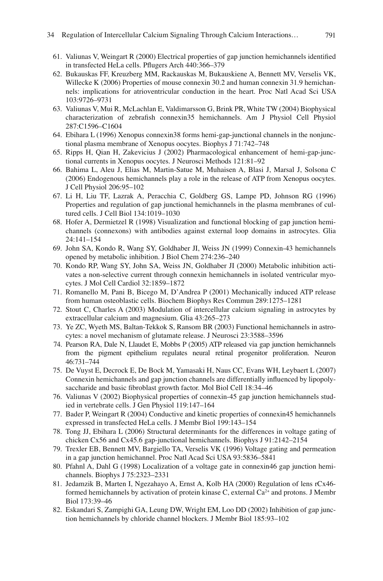- <span id="page-14-0"></span>61. Valiunas V, Weingart R (2000) Electrical properties of gap junction hemichannels identified in transfected HeLa cells. Pflugers Arch 440:366-379
- 62. Bukauskas FF, Kreuzberg MM, Rackauskas M, Bukauskiene A, Bennett MV, Verselis VK, Willecke K (2006) Properties of mouse connexin 30.2 and human connexin 31.9 hemichannels: implications for atrioventricular conduction in the heart. Proc Natl Acad Sci USA 103:9726–9731
- 63. Valiunas V, Mui R, McLachlan E, Valdimarsson G, Brink PR, White TW (2004) Biophysical characterization of zebrafish connexin35 hemichannels. Am J Physiol Cell Physiol 287:C1596–C1604
- 64. Ebihara L (1996) Xenopus connexin38 forms hemi-gap-junctional channels in the nonjunctional plasma membrane of Xenopus oocytes. Biophys J 71:742–748
- 65. Ripps H, Qian H, Zakevicius J (2002) Pharmacological enhancement of hemi-gap-junctional currents in Xenopus oocytes. J Neurosci Methods 121:81–92
- 66. Bahima L, Aleu J, Elias M, Martin-Satue M, Muhaisen A, Blasi J, Marsal J, Solsona C (2006) Endogenous hemichannels play a role in the release of ATP from Xenopus oocytes. J Cell Physiol 206:95–102
- 67. Li H, Liu TF, Lazrak A, Peracchia C, Goldberg GS, Lampe PD, Johnson RG (1996) Properties and regulation of gap junctional hemichannels in the plasma membranes of cultured cells. J Cell Biol 134:1019–1030
- 68. Hofer A, Dermietzel R (1998) Visualization and functional blocking of gap junction hemichannels (connexons) with antibodies against external loop domains in astrocytes. Glia 24:141–154
- 69. John SA, Kondo R, Wang SY, Goldhaber JI, Weiss JN (1999) Connexin-43 hemichannels opened by metabolic inhibition. J Biol Chem 274:236–240
- 70. Kondo RP, Wang SY, John SA, Weiss JN, Goldhaber JI (2000) Metabolic inhibition activates a non-selective current through connexin hemichannels in isolated ventricular myocytes. J Mol Cell Cardiol 32:1859–1872
- 71. Romanello M, Pani B, Bicego M, D'Andrea P (2001) Mechanically induced ATP release from human osteoblastic cells. Biochem Biophys Res Commun 289:1275–1281
- 72. Stout C, Charles A (2003) Modulation of intercellular calcium signaling in astrocytes by extracellular calcium and magnesium. Glia 43:265–273
- 73. Ye ZC, Wyeth MS, Baltan-Tekkok S, Ransom BR (2003) Functional hemichannels in astrocytes: a novel mechanism of glutamate release. J Neurosci 23:3588–3596
- 74. Pearson RA, Dale N, Llaudet E, Mobbs P (2005) ATP released via gap junction hemichannels from the pigment epithelium regulates neural retinal progenitor proliferation. Neuron 46:731–744
- 75. De Vuyst E, Decrock E, De Bock M, Yamasaki H, Naus CC, Evans WH, Leybaert L (2007) Connexin hemichannels and gap junction channels are differentially influenced by lipopolysaccharide and basic fibroblast growth factor. Mol Biol Cell 18:34-46
- 76. Valiunas V (2002) Biophysical properties of connexin-45 gap junction hemichannels studied in vertebrate cells. J Gen Physiol 119:147–164
- 77. Bader P, Weingart R (2004) Conductive and kinetic properties of connexin45 hemichannels expressed in transfected HeLa cells. J Membr Biol 199:143–154
- 78. Tong JJ, Ebihara L (2006) Structural determinants for the differences in voltage gating of chicken Cx56 and Cx45.6 gap-junctional hemichannels. Biophys J 91:2142–2154
- 79. Trexler EB, Bennett MV, Bargiello TA, Verselis VK (1996) Voltage gating and permeation in a gap junction hemichannel. Proc Natl Acad Sci USA 93:5836–5841
- 80. Pfahnl A, Dahl G (1998) Localization of a voltage gate in connexin46 gap junction hemichannels. Biophys J 75:2323–2331
- 81. Jedamzik B, Marten I, Ngezahayo A, Ernst A, Kolb HA (2000) Regulation of lens rCx46 formed hemichannels by activation of protein kinase C, external  $Ca<sup>2+</sup>$  and protons. J Membr Biol 173:39–46
- 82. Eskandari S, Zampighi GA, Leung DW, Wright EM, Loo DD (2002) Inhibition of gap junction hemichannels by chloride channel blockers. J Membr Biol 185:93–102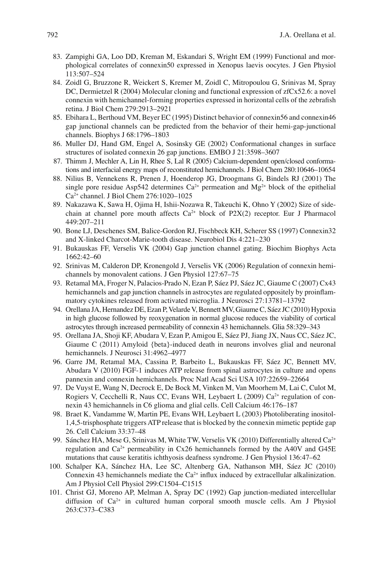- <span id="page-15-0"></span> 83. Zampighi GA, Loo DD, Kreman M, Eskandari S, Wright EM (1999) Functional and morphological correlates of connexin50 expressed in Xenopus laevis oocytes. J Gen Physiol 113:507–524
- 84. Zoidl G, Bruzzone R, Weickert S, Kremer M, Zoidl C, Mitropoulou G, Srinivas M, Spray DC, Dermietzel R (2004) Molecular cloning and functional expression of  $zfCx52.6$ : a novel connexin with hemichannel-forming properties expressed in horizontal cells of the zebrafish retina. J Biol Chem 279:2913–2921
- 85. Ebihara L, Berthoud VM, Beyer EC (1995) Distinct behavior of connexin56 and connexin46 gap junctional channels can be predicted from the behavior of their hemi-gap-junctional channels. Biophys J 68:1796–1803
- 86. Muller DJ, Hand GM, Engel A, Sosinsky GE (2002) Conformational changes in surface structures of isolated connexin 26 gap junctions. EMBO J 21:3598–3607
- 87. Thimm J, Mechler A, Lin H, Rhee S, Lal R (2005) Calcium-dependent open/closed conformations and interfacial energy maps of reconstituted hemichannels. J Biol Chem 280:10646–10654
- 88. Nilius B, Vennekens R, Prenen J, Hoenderop JG, Droogmans G, Bindels RJ (2001) The single pore residue Asp542 determines  $Ca^{2+}$  permeation and Mg<sup>2+</sup> block of the epithelial Ca2+ channel. J Biol Chem 276:1020–1025
- 89. Nakazawa K, Sawa H, Ojima H, Ishii-Nozawa R, Takeuchi K, Ohno Y (2002) Size of sidechain at channel pore mouth affects  $Ca^{2+}$  block of P2X(2) receptor. Eur J Pharmacol 449:207–211
- 90. Bone LJ, Deschenes SM, Balice-Gordon RJ, Fischbeck KH, Scherer SS (1997) Connexin32 and X-linked Charcot-Marie-tooth disease. Neurobiol Dis 4:221–230
- 91. Bukauskas FF, Verselis VK (2004) Gap junction channel gating. Biochim Biophys Acta 1662:42–60
- 92. Srinivas M, Calderon DP, Kronengold J, Verselis VK (2006) Regulation of connexin hemichannels by monovalent cations. J Gen Physiol 127:67–75
- 93. Retamal MA, Froger N, Palacios-Prado N, Ezan P, Sáez PJ, Sáez JC, Giaume C (2007) Cx43 hemichannels and gap junction channels in astrocytes are regulated oppositely by proinflammatory cytokines released from activated microglia. J Neurosci 27:13781–13792
- 94. Orellana JA, Hernandez DE, Ezan P, Velarde V, Bennett MV, Giaume C, Sáez JC (2010) Hypoxia in high glucose followed by reoxygenation in normal glucose reduces the viability of cortical astrocytes through increased permeability of connexin 43 hemichannels. Glia 58:329–343
- 95. Orellana JA, Shoji KF, Abudara V, Ezan P, Amigou E, Sáez PJ, Jiang JX, Naus CC, Sáez JC, Giaume C (2011) Amyloid {beta}-induced death in neurons involves glial and neuronal hemichannels. J Neurosci 31:4962–4977
- 96. Garre JM, Retamal MA, Cassina P, Barbeito L, Bukauskas FF, Sáez JC, Bennett MV, Abudara V (2010) FGF-1 induces ATP release from spinal astrocytes in culture and opens pannexin and connexin hemichannels. Proc Natl Acad Sci USA 107:22659–22664
- 97. De Vuyst E, Wang N, Decrock E, De Bock M, Vinken M, Van Moorhem M, Lai C, Culot M, Rogiers V, Cecchelli R, Naus CC, Evans WH, Leybaert L (2009)  $Ca<sup>2+</sup>$  regulation of connexin 43 hemichannels in C6 glioma and glial cells. Cell Calcium 46:176–187
- 98. Braet K, Vandamme W, Martin PE, Evans WH, Leybaert L (2003) Photoliberating inositol-1,4,5-trisphosphate triggers ATP release that is blocked by the connexin mimetic peptide gap 26. Cell Calcium 33:37–48
- 99. Sánchez HA, Mese G, Srinivas M, White TW, Verselis VK (2010) Differentially altered Ca<sup>2+</sup> regulation and Ca2+ permeability in Cx26 hemichannels formed by the A40V and G45E mutations that cause keratitis ichthyosis deafness syndrome. J Gen Physiol 136:47–62
- 100. Schalper KA, Sánchez HA, Lee SC, Altenberg GA, Nathanson MH, Sáez JC (2010) Connexin 43 hemichannels mediate the  $Ca^{2+}$  influx induced by extracellular alkalinization. Am J Physiol Cell Physiol 299:C1504–C1515
- 101. Christ GJ, Moreno AP, Melman A, Spray DC (1992) Gap junction-mediated intercellular diffusion of  $Ca^{2+}$  in cultured human corporal smooth muscle cells. Am J Physiol 263:C373–C383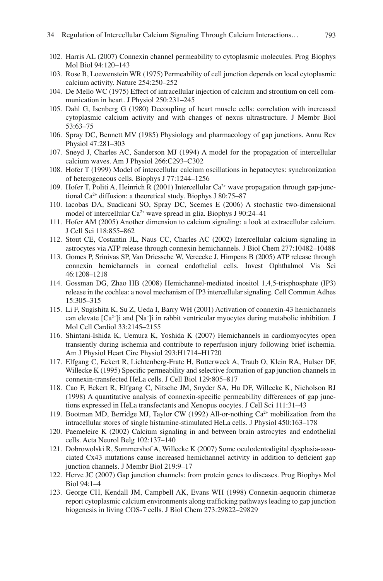- <span id="page-16-0"></span> 102. Harris AL (2007) Connexin channel permeability to cytoplasmic molecules. Prog Biophys Mol Biol 94:120–143
- 103. Rose B, Loewenstein WR (1975) Permeability of cell junction depends on local cytoplasmic calcium activity. Nature 254:250–252
- 104. De Mello WC (1975) Effect of intracellular injection of calcium and strontium on cell communication in heart. J Physiol 250:231–245
- 105. Dahl G, Isenberg G (1980) Decoupling of heart muscle cells: correlation with increased cytoplasmic calcium activity and with changes of nexus ultrastructure. J Membr Biol 53:63–75
- 106. Spray DC, Bennett MV (1985) Physiology and pharmacology of gap junctions. Annu Rev Physiol 47:281–303
- 107. Sneyd J, Charles AC, Sanderson MJ (1994) A model for the propagation of intercellular calcium waves. Am J Physiol 266:C293–C302
- 108. Hofer T (1999) Model of intercellular calcium oscillations in hepatocytes: synchronization of heterogeneous cells. Biophys J 77:1244–1256
- 109. Hofer T, Politi A, Heinrich R (2001) Intercellular  $Ca<sup>2+</sup>$  wave propagation through gap-junctional Ca2+ diffusion: a theoretical study. Biophys J 80:75–87
- 110. Iacobas DA, Suadicani SO, Spray DC, Scemes E (2006) A stochastic two-dimensional model of intercellular Ca<sup>2+</sup> wave spread in glia. Biophys J 90:24–41
- 111. Hofer AM (2005) Another dimension to calcium signaling: a look at extracellular calcium. J Cell Sci 118:855–862
- 112. Stout CE, Costantin JL, Naus CC, Charles AC (2002) Intercellular calcium signaling in astrocytes via ATP release through connexin hemichannels. J Biol Chem 277:10482–10488
- 113. Gomes P, Srinivas SP, Van Driessche W, Vereecke J, Himpens B (2005) ATP release through connexin hemichannels in corneal endothelial cells. Invest Ophthalmol Vis Sci 46:1208–1218
- 114. Gossman DG, Zhao HB (2008) Hemichannel-mediated inositol 1,4,5-trisphosphate (IP3) release in the cochlea: a novel mechanism of IP3 intercellular signaling. Cell Commun Adhes 15:305–315
- 115. Li F, Sugishita K, Su Z, Ueda I, Barry WH (2001) Activation of connexin-43 hemichannels can elevate  $[Ca^{2+}]$  i and  $[Na^+]$  i in rabbit ventricular myocytes during metabolic inhibition. J Mol Cell Cardiol 33:2145–2155
- 116. Shintani-Ishida K, Uemura K, Yoshida K (2007) Hemichannels in cardiomyocytes open transiently during ischemia and contribute to reperfusion injury following brief ischemia. Am J Physiol Heart Circ Physiol 293:H1714–H1720
- 117. Elfgang C, Eckert R, Lichtenberg-Frate H, Butterweck A, Traub O, Klein RA, Hulser DF, Willecke K (1995) Specific permeability and selective formation of gap junction channels in connexin-transfected HeLa cells. J Cell Biol 129:805–817
- 118. Cao F, Eckert R, Elfgang C, Nitsche JM, Snyder SA, Hu DF, Willecke K, Nicholson BJ (1998) A quantitative analysis of connexin-specifi c permeability differences of gap junctions expressed in HeLa transfectants and Xenopus oocytes. J Cell Sci 111:31–43
- 119. Bootman MD, Berridge MJ, Taylor CW (1992) All-or-nothing  $Ca<sup>2+</sup>$  mobilization from the intracellular stores of single histamine-stimulated HeLa cells. J Physiol 450:163–178
- 120. Paemeleire K (2002) Calcium signaling in and between brain astrocytes and endothelial cells. Acta Neurol Belg 102:137–140
- 121. Dobrowolski R, Sommershof A, Willecke K (2007) Some oculodentodigital dysplasia-associated Cx43 mutations cause increased hemichannel activity in addition to deficient gap junction channels. J Membr Biol 219:9–17
- 122. Herve JC (2007) Gap junction channels: from protein genes to diseases. Prog Biophys Mol Biol 94:1–4
- 123. George CH, Kendall JM, Campbell AK, Evans WH (1998) Connexin-aequorin chimerae report cytoplasmic calcium environments along trafficking pathways leading to gap junction biogenesis in living COS-7 cells. J Biol Chem 273:29822–29829